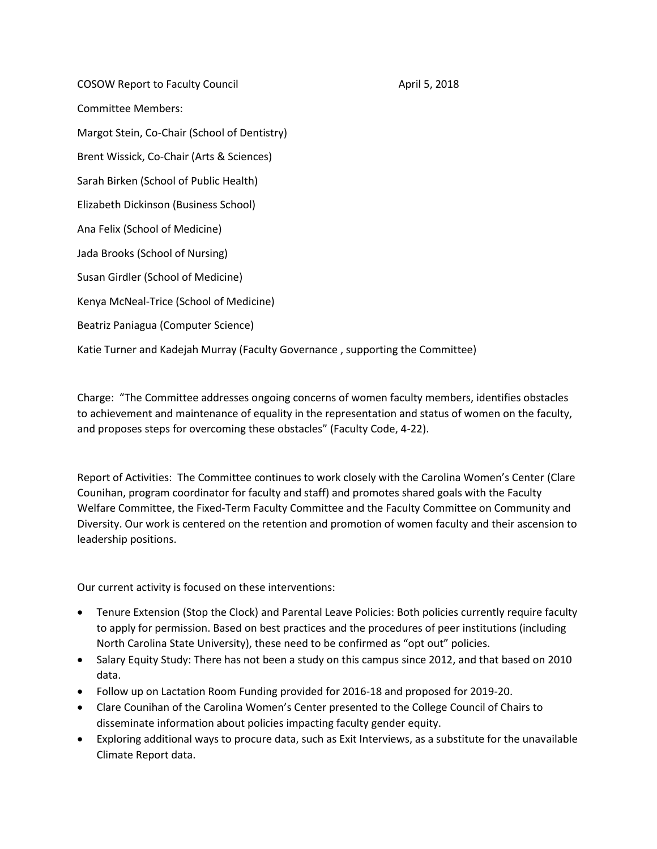COSOW Report to Faculty Council **Access 2018** April 5, 2018 Committee Members: Margot Stein, Co-Chair (School of Dentistry) Brent Wissick, Co-Chair (Arts & Sciences) Sarah Birken (School of Public Health) Elizabeth Dickinson (Business School) Ana Felix (School of Medicine) Jada Brooks (School of Nursing) Susan Girdler (School of Medicine) Kenya McNeal-Trice (School of Medicine) Beatriz Paniagua (Computer Science) Katie Turner and Kadejah Murray (Faculty Governance , supporting the Committee)

Charge: "The Committee addresses ongoing concerns of women faculty members, identifies obstacles to achievement and maintenance of equality in the representation and status of women on the faculty, and proposes steps for overcoming these obstacles" (Faculty Code, 4-22).

Report of Activities: The Committee continues to work closely with the Carolina Women's Center (Clare Counihan, program coordinator for faculty and staff) and promotes shared goals with the Faculty Welfare Committee, the Fixed-Term Faculty Committee and the Faculty Committee on Community and Diversity. Our work is centered on the retention and promotion of women faculty and their ascension to leadership positions.

Our current activity is focused on these interventions:

- Tenure Extension (Stop the Clock) and Parental Leave Policies: Both policies currently require faculty to apply for permission. Based on best practices and the procedures of peer institutions (including North Carolina State University), these need to be confirmed as "opt out" policies.
- Salary Equity Study: There has not been a study on this campus since 2012, and that based on 2010 data.
- Follow up on Lactation Room Funding provided for 2016-18 and proposed for 2019-20.
- Clare Counihan of the Carolina Women's Center presented to the College Council of Chairs to disseminate information about policies impacting faculty gender equity.
- Exploring additional ways to procure data, such as Exit Interviews, as a substitute for the unavailable Climate Report data.